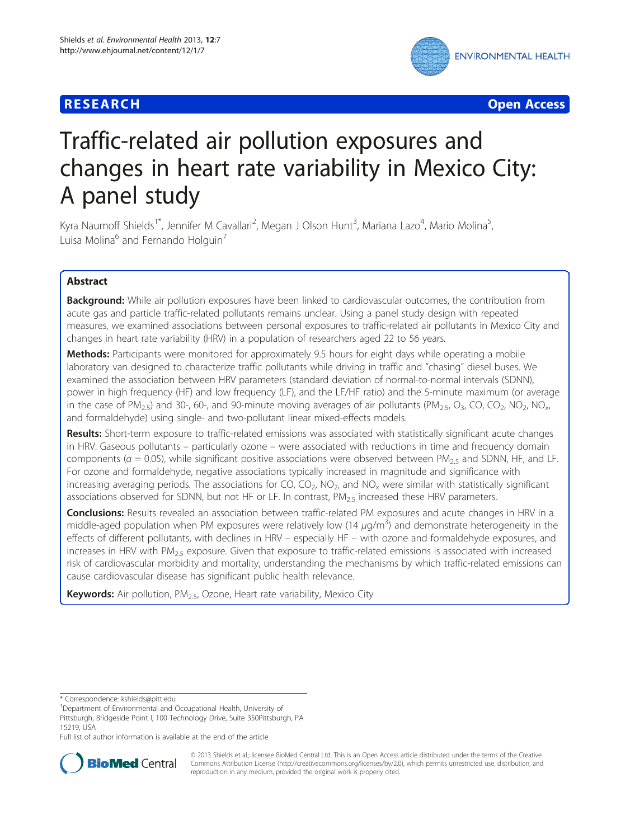## **RESEARCH CHEAR CHEAR CHEAR CHEAR CHEAR CHEAR CHEAR CHEAR CHEAR CHEAR CHEAR CHEAR CHEAR CHEAR CHEAR CHEAR CHEAR**



# Traffic-related air pollution exposures and changes in heart rate variability in Mexico City: A panel study

Kyra Naumoff Shields<sup>1\*</sup>, Jennifer M Cavallari<sup>2</sup>, Megan J Olson Hunt<sup>3</sup>, Mariana Lazo<sup>4</sup>, Mario Molina<sup>5</sup> , Luisa Molina<sup>6</sup> and Fernando Holguin<sup>7</sup>

## Abstract

Background: While air pollution exposures have been linked to cardiovascular outcomes, the contribution from acute gas and particle traffic-related pollutants remains unclear. Using a panel study design with repeated measures, we examined associations between personal exposures to traffic-related air pollutants in Mexico City and changes in heart rate variability (HRV) in a population of researchers aged 22 to 56 years.

**Methods:** Participants were monitored for approximately 9.5 hours for eight days while operating a mobile laboratory van designed to characterize traffic pollutants while driving in traffic and "chasing" diesel buses. We examined the association between HRV parameters (standard deviation of normal-to-normal intervals (SDNN), power in high frequency (HF) and low frequency (LF), and the LF/HF ratio) and the 5-minute maximum (or average in the case of PM<sub>2.5</sub>) and 30-, 60-, and 90-minute moving averages of air pollutants (PM<sub>2.5</sub>, O<sub>3</sub>, CO, CO<sub>2</sub>, NO<sub>2</sub>, NO<sub>x</sub>, and formaldehyde) using single- and two-pollutant linear mixed-effects models.

Results: Short-term exposure to traffic-related emissions was associated with statistically significant acute changes in HRV. Gaseous pollutants – particularly ozone – were associated with reductions in time and frequency domain components ( $\alpha$  = 0.05), while significant positive associations were observed between PM<sub>2.5</sub> and SDNN, HF, and LF. For ozone and formaldehyde, negative associations typically increased in magnitude and significance with increasing averaging periods. The associations for CO,  $CO<sub>2</sub>$ , NO<sub>2</sub>, and NO<sub>x</sub> were similar with statistically significant associations observed for SDNN, but not HF or LF. In contrast,  $PM_{2.5}$  increased these HRV parameters.

Conclusions: Results revealed an association between traffic-related PM exposures and acute changes in HRV in a middle-aged population when PM exposures were relatively low (14  $\mu$ g/m<sup>3</sup>) and demonstrate heterogeneity in the effects of different pollutants, with declines in HRV – especially HF – with ozone and formaldehyde exposures, and increases in HRV with  $PM_{2.5}$  exposure. Given that exposure to traffic-related emissions is associated with increased risk of cardiovascular morbidity and mortality, understanding the mechanisms by which traffic-related emissions can cause cardiovascular disease has significant public health relevance.

Keywords: Air pollution, PM<sub>2.5</sub>, Ozone, Heart rate variability, Mexico City

Department of Environmental and Occupational Health, University of Pittsburgh, Bridgeside Point I, 100 Technology Drive, Suite 350Pittsburgh, PA 15219, USA

Full list of author information is available at the end of the article



© 2013 Shields et al.; licensee BioMed Central Ltd. This is an Open Access article distributed under the terms of the Creative Commons Attribution License [\(http://creativecommons.org/licenses/by/2.0\)](http://creativecommons.org/licenses/by/2.0), which permits unrestricted use, distribution, and reproduction in any medium, provided the original work is properly cited.

<sup>\*</sup> Correspondence: [kshields@pitt.edu](mailto:kshields@pitt.edu) <sup>1</sup>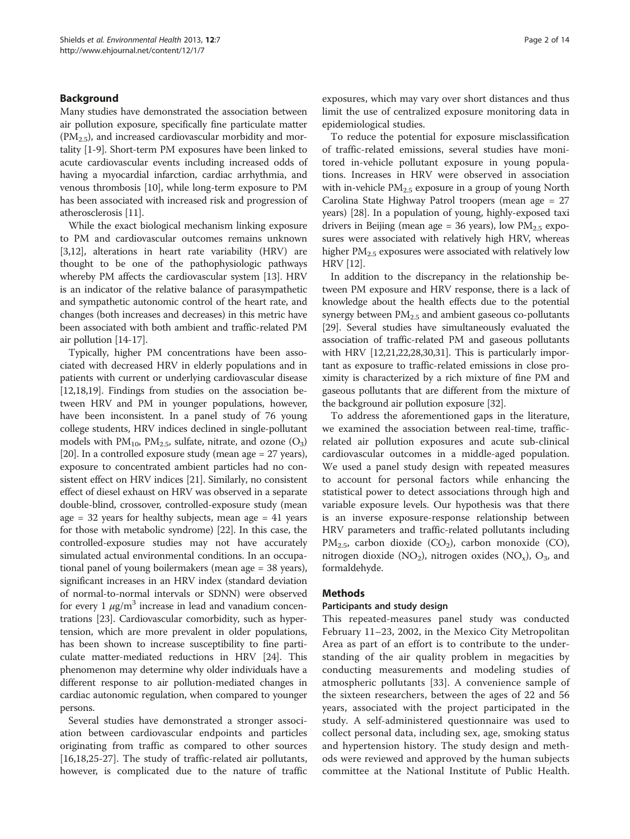## Background

Many studies have demonstrated the association between air pollution exposure, specifically fine particulate matter (PM2.5), and increased cardiovascular morbidity and mortality [[1](#page-11-0)-[9\]](#page-11-0). Short-term PM exposures have been linked to acute cardiovascular events including increased odds of having a myocardial infarction, cardiac arrhythmia, and venous thrombosis [\[10\]](#page-11-0), while long-term exposure to PM has been associated with increased risk and progression of atherosclerosis [\[11\]](#page-11-0).

While the exact biological mechanism linking exposure to PM and cardiovascular outcomes remains unknown [[3,12](#page-11-0)], alterations in heart rate variability (HRV) are thought to be one of the pathophysiologic pathways whereby PM affects the cardiovascular system [\[13\]](#page-11-0). HRV is an indicator of the relative balance of parasympathetic and sympathetic autonomic control of the heart rate, and changes (both increases and decreases) in this metric have been associated with both ambient and traffic-related PM air pollution [[14](#page-11-0)-[17](#page-11-0)].

Typically, higher PM concentrations have been associated with decreased HRV in elderly populations and in patients with current or underlying cardiovascular disease [[12,18](#page-11-0)[,19\]](#page-12-0). Findings from studies on the association between HRV and PM in younger populations, however, have been inconsistent. In a panel study of 76 young college students, HRV indices declined in single-pollutant models with  $PM_{10}$ ,  $PM_{2.5}$ , sulfate, nitrate, and ozone  $(O_3)$ [[20](#page-12-0)]. In a controlled exposure study (mean age = 27 years), exposure to concentrated ambient particles had no consistent effect on HRV indices [\[21\]](#page-12-0). Similarly, no consistent effect of diesel exhaust on HRV was observed in a separate double-blind, crossover, controlled-exposure study (mean age  $= 32$  years for healthy subjects, mean age  $= 41$  years for those with metabolic syndrome) [\[22\]](#page-12-0). In this case, the controlled-exposure studies may not have accurately simulated actual environmental conditions. In an occupational panel of young boilermakers (mean age = 38 years), significant increases in an HRV index (standard deviation of normal-to-normal intervals or SDNN) were observed for every 1  $\mu$ g/m<sup>3</sup> increase in lead and vanadium concentrations [\[23\]](#page-12-0). Cardiovascular comorbidity, such as hypertension, which are more prevalent in older populations, has been shown to increase susceptibility to fine particulate matter-mediated reductions in HRV [[24](#page-12-0)]. This phenomenon may determine why older individuals have a different response to air pollution-mediated changes in cardiac autonomic regulation, when compared to younger persons.

Several studies have demonstrated a stronger association between cardiovascular endpoints and particles originating from traffic as compared to other sources [[16,18,](#page-11-0)[25-27\]](#page-12-0). The study of traffic-related air pollutants, however, is complicated due to the nature of traffic

exposures, which may vary over short distances and thus limit the use of centralized exposure monitoring data in epidemiological studies.

To reduce the potential for exposure misclassification of traffic-related emissions, several studies have monitored in-vehicle pollutant exposure in young populations. Increases in HRV were observed in association with in-vehicle  $PM<sub>2.5</sub>$  exposure in a group of young North Carolina State Highway Patrol troopers (mean age = 27 years) [\[28](#page-12-0)]. In a population of young, highly-exposed taxi drivers in Beijing (mean age = 36 years), low  $PM_{2.5}$  exposures were associated with relatively high HRV, whereas higher  $PM_{2.5}$  exposures were associated with relatively low HRV [\[12](#page-11-0)].

In addition to the discrepancy in the relationship between PM exposure and HRV response, there is a lack of knowledge about the health effects due to the potential synergy between  $PM_{2.5}$  and ambient gaseous co-pollutants [[29](#page-12-0)]. Several studies have simultaneously evaluated the association of traffic-related PM and gaseous pollutants with HRV [\[12,](#page-11-0)[21,22,28,30](#page-12-0),[31](#page-12-0)]. This is particularly important as exposure to traffic-related emissions in close proximity is characterized by a rich mixture of fine PM and gaseous pollutants that are different from the mixture of the background air pollution exposure [[32](#page-12-0)].

To address the aforementioned gaps in the literature, we examined the association between real-time, trafficrelated air pollution exposures and acute sub-clinical cardiovascular outcomes in a middle-aged population. We used a panel study design with repeated measures to account for personal factors while enhancing the statistical power to detect associations through high and variable exposure levels. Our hypothesis was that there is an inverse exposure-response relationship between HRV parameters and traffic-related pollutants including  $PM_{2.5}$ , carbon dioxide (CO<sub>2</sub>), carbon monoxide (CO), nitrogen dioxide (NO<sub>2</sub>), nitrogen oxides (NO<sub>x</sub>), O<sub>3</sub>, and formaldehyde.

## Methods

## Participants and study design

This repeated-measures panel study was conducted February 11–23, 2002, in the Mexico City Metropolitan Area as part of an effort is to contribute to the understanding of the air quality problem in megacities by conducting measurements and modeling studies of atmospheric pollutants [[33\]](#page-12-0). A convenience sample of the sixteen researchers, between the ages of 22 and 56 years, associated with the project participated in the study. A self-administered questionnaire was used to collect personal data, including sex, age, smoking status and hypertension history. The study design and methods were reviewed and approved by the human subjects committee at the National Institute of Public Health.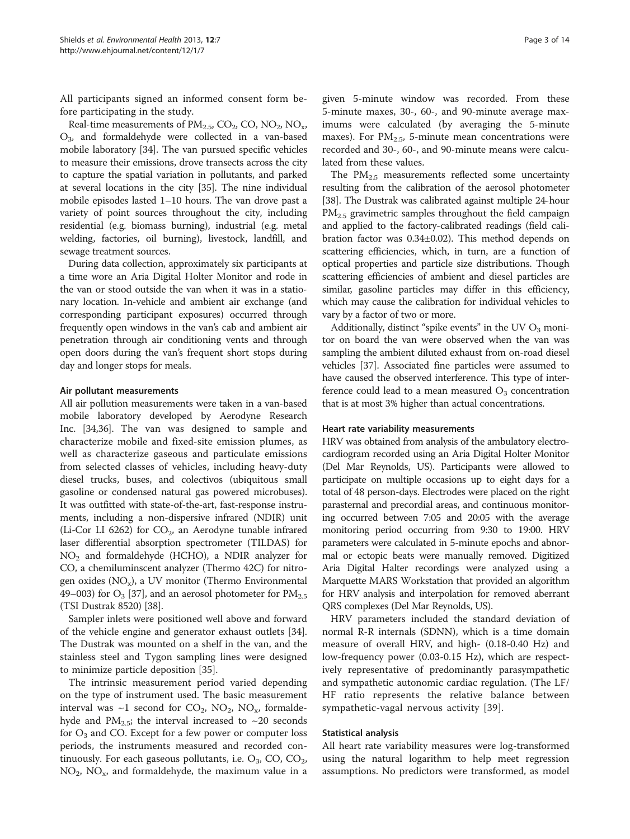All participants signed an informed consent form before participating in the study.

Real-time measurements of  $PM_{2.5}$ ,  $CO_2$ ,  $CO$ ,  $NO_2$ ,  $NO_x$ , O3, and formaldehyde were collected in a van-based mobile laboratory [[34\]](#page-12-0). The van pursued specific vehicles to measure their emissions, drove transects across the city to capture the spatial variation in pollutants, and parked at several locations in the city [\[35\]](#page-12-0). The nine individual mobile episodes lasted 1–10 hours. The van drove past a variety of point sources throughout the city, including residential (e.g. biomass burning), industrial (e.g. metal welding, factories, oil burning), livestock, landfill, and sewage treatment sources.

During data collection, approximately six participants at a time wore an Aria Digital Holter Monitor and rode in the van or stood outside the van when it was in a stationary location. In-vehicle and ambient air exchange (and corresponding participant exposures) occurred through frequently open windows in the van's cab and ambient air penetration through air conditioning vents and through open doors during the van's frequent short stops during day and longer stops for meals.

## Air pollutant measurements

All air pollution measurements were taken in a van-based mobile laboratory developed by Aerodyne Research Inc. [\[34,36\]](#page-12-0). The van was designed to sample and characterize mobile and fixed-site emission plumes, as well as characterize gaseous and particulate emissions from selected classes of vehicles, including heavy-duty diesel trucks, buses, and colectivos (ubiquitous small gasoline or condensed natural gas powered microbuses). It was outfitted with state-of-the-art, fast-response instruments, including a non-dispersive infrared (NDIR) unit (Li-Cor LI 6262) for  $CO<sub>2</sub>$ , an Aerodyne tunable infrared laser differential absorption spectrometer (TILDAS) for  $NO<sub>2</sub>$  and formaldehyde (HCHO), a NDIR analyzer for CO, a chemiluminscent analyzer (Thermo 42C) for nitrogen oxides  $(NO_x)$ , a UV monitor (Thermo Environmental 49–003) for  $O_3$  [\[37\]](#page-12-0), and an aerosol photometer for  $PM_{2.5}$ (TSI Dustrak 8520) [[38](#page-12-0)].

Sampler inlets were positioned well above and forward of the vehicle engine and generator exhaust outlets [\[34](#page-12-0)]. The Dustrak was mounted on a shelf in the van, and the stainless steel and Tygon sampling lines were designed to minimize particle deposition [[35\]](#page-12-0).

The intrinsic measurement period varied depending on the type of instrument used. The basic measurement interval was ~1 second for  $CO_2$ ,  $NO_2$ ,  $NO_x$ , formaldehyde and  $PM_{2.5}$ ; the interval increased to ~20 seconds for  $O_3$  and CO. Except for a few power or computer loss periods, the instruments measured and recorded continuously. For each gaseous pollutants, i.e.  $O_3$ , CO, CO<sub>2</sub>,  $NO<sub>2</sub>$ ,  $NO<sub>x</sub>$ , and formaldehyde, the maximum value in a

given 5-minute window was recorded. From these 5-minute maxes, 30-, 60-, and 90-minute average maximums were calculated (by averaging the 5-minute maxes). For  $PM_{2.5}$ , 5-minute mean concentrations were recorded and 30-, 60-, and 90-minute means were calculated from these values.

The  $PM<sub>2.5</sub>$  measurements reflected some uncertainty resulting from the calibration of the aerosol photometer [[38](#page-12-0)]. The Dustrak was calibrated against multiple 24-hour PM2.5 gravimetric samples throughout the field campaign and applied to the factory-calibrated readings (field calibration factor was 0.34±0.02). This method depends on scattering efficiencies, which, in turn, are a function of optical properties and particle size distributions. Though scattering efficiencies of ambient and diesel particles are similar, gasoline particles may differ in this efficiency, which may cause the calibration for individual vehicles to vary by a factor of two or more.

Additionally, distinct "spike events" in the UV  $O_3$  monitor on board the van were observed when the van was sampling the ambient diluted exhaust from on-road diesel vehicles [[37](#page-12-0)]. Associated fine particles were assumed to have caused the observed interference. This type of interference could lead to a mean measured  $O_3$  concentration that is at most 3% higher than actual concentrations.

## Heart rate variability measurements

HRV was obtained from analysis of the ambulatory electrocardiogram recorded using an Aria Digital Holter Monitor (Del Mar Reynolds, US). Participants were allowed to participate on multiple occasions up to eight days for a total of 48 person-days. Electrodes were placed on the right parasternal and precordial areas, and continuous monitoring occurred between 7:05 and 20:05 with the average monitoring period occurring from 9:30 to 19:00. HRV parameters were calculated in 5-minute epochs and abnormal or ectopic beats were manually removed. Digitized Aria Digital Halter recordings were analyzed using a Marquette MARS Workstation that provided an algorithm for HRV analysis and interpolation for removed aberrant QRS complexes (Del Mar Reynolds, US).

HRV parameters included the standard deviation of normal R-R internals (SDNN), which is a time domain measure of overall HRV, and high- (0.18-0.40 Hz) and low-frequency power (0.03-0.15 Hz), which are respectively representative of predominantly parasympathetic and sympathetic autonomic cardiac regulation. (The LF/ HF ratio represents the relative balance between sympathetic-vagal nervous activity [[39\]](#page-12-0).

#### Statistical analysis

All heart rate variability measures were log-transformed using the natural logarithm to help meet regression assumptions. No predictors were transformed, as model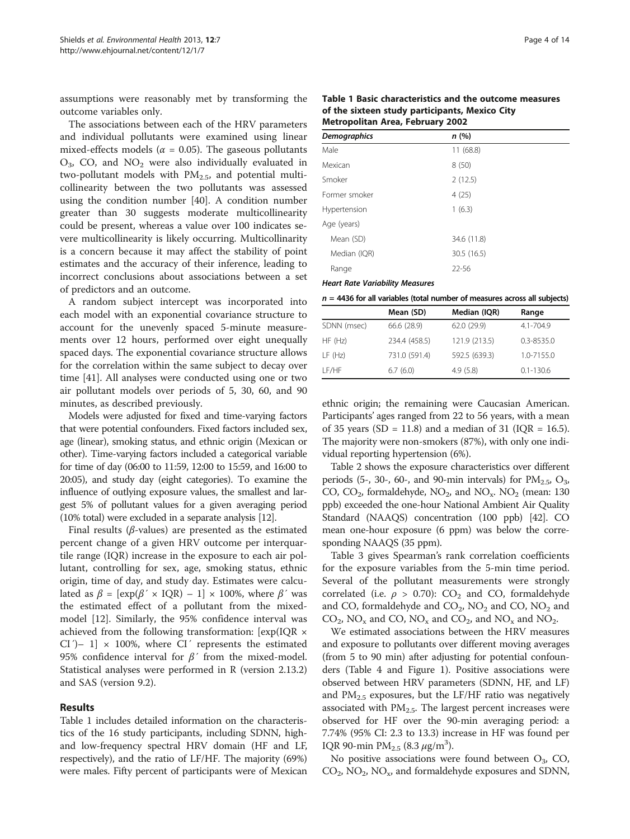assumptions were reasonably met by transforming the outcome variables only.

The associations between each of the HRV parameters and individual pollutants were examined using linear mixed-effects models ( $\alpha = 0.05$ ). The gaseous pollutants  $O_3$ , CO, and  $NO_2$  were also individually evaluated in two-pollutant models with  $PM_{2.5}$ , and potential multicollinearity between the two pollutants was assessed using the condition number [[40\]](#page-12-0). A condition number greater than 30 suggests moderate multicollinearity could be present, whereas a value over 100 indicates severe multicollinearity is likely occurring. Multicollinarity is a concern because it may affect the stability of point estimates and the accuracy of their inference, leading to incorrect conclusions about associations between a set of predictors and an outcome.

A random subject intercept was incorporated into each model with an exponential covariance structure to account for the unevenly spaced 5-minute measurements over 12 hours, performed over eight unequally spaced days. The exponential covariance structure allows for the correlation within the same subject to decay over time [\[41](#page-12-0)]. All analyses were conducted using one or two air pollutant models over periods of 5, 30, 60, and 90 minutes, as described previously.

Models were adjusted for fixed and time-varying factors that were potential confounders. Fixed factors included sex, age (linear), smoking status, and ethnic origin (Mexican or other). Time-varying factors included a categorical variable for time of day (06:00 to 11:59, 12:00 to 15:59, and 16:00 to 20:05), and study day (eight categories). To examine the influence of outlying exposure values, the smallest and largest 5% of pollutant values for a given averaging period (10% total) were excluded in a separate analysis [\[12\]](#page-11-0).

Final results ( $\beta$ -values) are presented as the estimated percent change of a given HRV outcome per interquartile range (IQR) increase in the exposure to each air pollutant, controlling for sex, age, smoking status, ethnic origin, time of day, and study day. Estimates were calculated as  $\beta = [\exp(\beta' \times IQR) - 1] \times 100\%$ , where  $\beta'$  was the estimated effect of a pollutant from the mixedmodel [[12\]](#page-11-0). Similarly, the 95% confidence interval was achieved from the following transformation: [exp(IQR × CI<sup>'</sup>)– 1]  $\times$  100%, where CI<sup>'</sup> represents the estimated 95% confidence interval for  $\beta'$  from the mixed-model. Statistical analyses were performed in R (version 2.13.2) and SAS (version 9.2).

## Results

Table 1 includes detailed information on the characteristics of the 16 study participants, including SDNN, highand low-frequency spectral HRV domain (HF and LF, respectively), and the ratio of LF/HF. The majority (69%) were males. Fifty percent of participants were of Mexican

Table 1 Basic characteristics and the outcome measures of the sixteen study participants, Mexico City Metropolitan Area, February 2002

| <b>Demographics</b> | n (%)       |  |
|---------------------|-------------|--|
| Male                | 11(68.8)    |  |
| Mexican             | 8(50)       |  |
| Smoker              | 2(12.5)     |  |
| Former smoker       | 4(25)       |  |
| Hypertension        | 1(6.3)      |  |
| Age (years)         |             |  |
| Mean (SD)           | 34.6 (11.8) |  |
| Median (IQR)        | 30.5 (16.5) |  |
| Range               | 22-56       |  |
|                     |             |  |

**Heart Rate Variability Measures** Heart Rate Variability Measures

|  |  |   | $n = 4436$ for all variables (total number of measures across all subjects) |
|--|--|---|-----------------------------------------------------------------------------|
|  |  | . |                                                                             |

|             | Mean (SD)     | Median (IQR)  | Range          |
|-------------|---------------|---------------|----------------|
| SDNN (msec) | 66.6 (28.9)   | 62.0 (29.9)   | $4.1 - 704.9$  |
| HF(Hz)      | 234.4 (458.5) | 121.9 (213.5) | $0.3 - 8535.0$ |
| LF(Hz)      | 731.0 (591.4) | 592.5 (639.3) | 1.0-7155.0     |
| I F/HF      | 6.7(6.0)      | 4.9(5.8)      | $0.1 - 130.6$  |

ethnic origin; the remaining were Caucasian American. Participants' ages ranged from 22 to 56 years, with a mean of 35 years (SD = 11.8) and a median of 31 (IQR = 16.5). The majority were non-smokers (87%), with only one individual reporting hypertension (6%).

Table [2](#page-4-0) shows the exposure characteristics over different periods (5-, 30-, 60-, and 90-min intervals) for  $PM_{2.5}$ ,  $O_3$ , CO,  $CO_2$ , formaldehyde,  $NO_2$ , and  $NO_x$ .  $NO_2$  (mean: 130 ppb) exceeded the one-hour National Ambient Air Quality Standard (NAAQS) concentration (100 ppb) [[42](#page-12-0)]. CO mean one-hour exposure (6 ppm) was below the corresponding NAAQS (35 ppm).

Table [3](#page-4-0) gives Spearman's rank correlation coefficients for the exposure variables from the 5-min time period. Several of the pollutant measurements were strongly correlated (i.e.  $\rho > 0.70$ ): CO<sub>2</sub> and CO, formaldehyde and CO, formaldehyde and  $CO_2$ ,  $NO_2$  and CO,  $NO_2$  and  $CO_2$ , NO<sub>x</sub> and CO, NO<sub>x</sub> and CO<sub>2</sub>, and NO<sub>x</sub> and NO<sub>2</sub>.

We estimated associations between the HRV measures and exposure to pollutants over different moving averages (from 5 to 90 min) after adjusting for potential confounders (Table [4](#page-5-0) and Figure [1](#page-7-0)). Positive associations were observed between HRV parameters (SDNN, HF, and LF) and  $PM_{2.5}$  exposures, but the LF/HF ratio was negatively associated with  $PM<sub>2.5</sub>$ . The largest percent increases were observed for HF over the 90-min averaging period: a 7.74% (95% CI: 2.3 to 13.3) increase in HF was found per IQR 90-min  $PM_{2.5}$  (8.3  $\mu$ g/m<sup>3</sup>).

No positive associations were found between  $O_3$ , CO,  $CO<sub>2</sub>$ , NO<sub>2</sub>, NO<sub>x</sub>, and formaldehyde exposures and SDNN,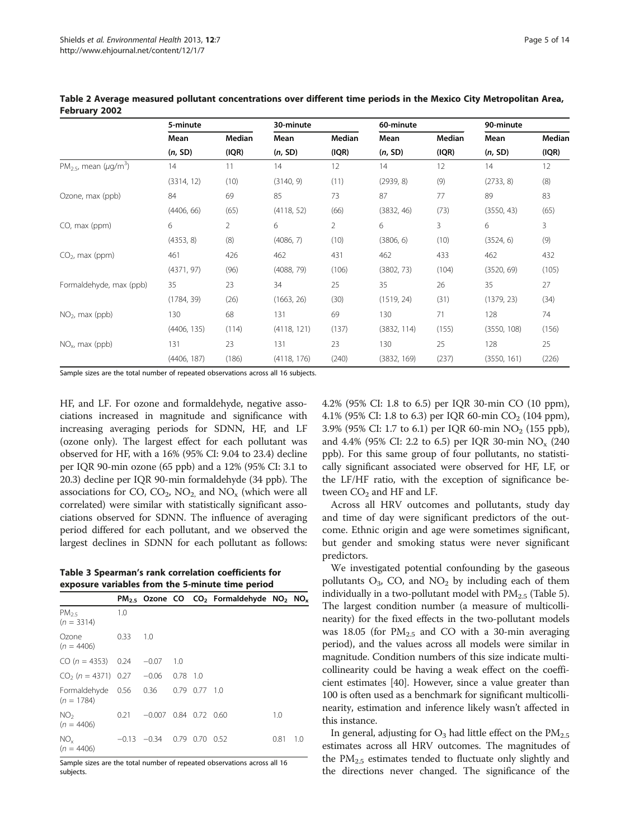|                                           | 5-minute    |               | 30-minute   |        | 60-minute   |        | 90-minute   |        |  |
|-------------------------------------------|-------------|---------------|-------------|--------|-------------|--------|-------------|--------|--|
|                                           | Mean        | <b>Median</b> | Mean        | Median | Mean        | Median | Mean        | Median |  |
|                                           | (n, SD)     | (IQR)         | (n, SD)     | (IQR)  | (n, SD)     | (IQR)  | (n, SD)     | (IQR)  |  |
| $PM2.5$ , mean ( $\mu$ g/m <sup>3</sup> ) | 14          | 11            | 14          | 12     | 14          | 12     | 14          | 12     |  |
|                                           | (3314, 12)  | (10)          | (3140, 9)   | (11)   | (2939, 8)   | (9)    | (2733, 8)   | (8)    |  |
| Ozone, max (ppb)                          | 84          | 69            | 85          | 73     | 87          | 77     | 89          | 83     |  |
|                                           | (4406, 66)  | (65)          | (4118, 52)  | (66)   | (3832, 46)  | (73)   | (3550, 43)  | (65)   |  |
| CO, max (ppm)                             | 6           | 2             | 6           | 2      | 6           | 3      | 6           | 3      |  |
|                                           | (4353, 8)   | (8)           | (4086, 7)   | (10)   | (3806, 6)   | (10)   | (3524, 6)   | (9)    |  |
| $CO2$ , max (ppm)                         | 461         | 426           | 462         | 431    | 462         | 433    | 462         | 432    |  |
|                                           | (4371, 97)  | (96)          | (4088, 79)  | (106)  | (3802, 73)  | (104)  | (3520, 69)  | (105)  |  |
| Formaldehyde, max (ppb)                   | 35          | 23            | 34          | 25     | 35          | 26     | 35          | 27     |  |
|                                           | (1784, 39)  | (26)          | (1663, 26)  | (30)   | (1519, 24)  | (31)   | (1379, 23)  | (34)   |  |
| $NO2$ , max (ppb)                         | 130         | 68            | 131         | 69     | 130         | 71     | 128         | 74     |  |
|                                           | (4406, 135) | (114)         | (4118, 121) | (137)  | (3832, 114) | (155)  | (3550, 108) | (156)  |  |
| $NOx$ , max (ppb)                         | 131         | 23            | 131         | 23     | 130         | 25     | 128         | 25     |  |
|                                           | (4406, 187) | (186)         | (4118, 176) | (240)  | (3832, 169) | (237)  | (3550, 161) | (226)  |  |

<span id="page-4-0"></span>Table 2 Average measured pollutant concentrations over different time periods in the Mexico City Metropolitan Area, February 2002

Sample sizes are the total number of repeated observations across all 16 subjects.

HF, and LF. For ozone and formaldehyde, negative associations increased in magnitude and significance with increasing averaging periods for SDNN, HF, and LF (ozone only). The largest effect for each pollutant was observed for HF, with a 16% (95% CI: 9.04 to 23.4) decline per IQR 90-min ozone (65 ppb) and a 12% (95% CI: 3.1 to 20.3) decline per IQR 90-min formaldehyde (34 ppb). The associations for CO,  $CO_2$ ,  $NO_2$ , and  $NO_x$  (which were all correlated) were similar with statistically significant associations observed for SDNN. The influence of averaging period differed for each pollutant, and we observed the largest declines in SDNN for each pollutant as follows:

Table 3 Spearman's rank correlation coefficients for exposure variables from the 5-minute time period

|                                        |         |                         |            |           | $PM_{2.5}$ Ozone CO CO <sub>2</sub> Formaldehyde NO <sub>2</sub> NO <sub>x</sub> |      |     |
|----------------------------------------|---------|-------------------------|------------|-----------|----------------------------------------------------------------------------------|------|-----|
| PM <sub>25</sub><br>$(n = 3314)$       | 1.0     |                         |            |           |                                                                                  |      |     |
| Ozone<br>$(n = 4406)$                  | 0.33    | 1.0                     |            |           |                                                                                  |      |     |
| $CO (n = 4353)$ 0.24                   |         | $-0.07$                 | 1.0        |           |                                                                                  |      |     |
| $CO2$ (n = 4371) 0.27 -0.06            |         |                         | $0.78$ 1.0 |           |                                                                                  |      |     |
| Formaldehyde 0.56 0.36<br>$(n = 1784)$ |         |                         |            | 0.79 0.77 | - 1.0                                                                            |      |     |
| NO <sub>2</sub><br>$(n = 4406)$        | 0.21    | $-0.007$ 0.84 0.72 0.60 |            |           |                                                                                  | 1.0  |     |
| NO <sub>1</sub><br>$(n = 4406)$        | $-0.13$ | $-0.34$                 | 0.79       | 0.70      | 0.52                                                                             | 0.81 | 1.0 |

Sample sizes are the total number of repeated observations across all 16 subjects.

4.2% (95% CI: 1.8 to 6.5) per IQR 30-min CO (10 ppm), 4.1% (95% CI: 1.8 to 6.3) per IQR 60-min  $CO_2$  (104 ppm), 3.9% (95% CI: 1.7 to 6.1) per IQR 60-min NO<sub>2</sub> (155 ppb), and 4.4% (95% CI: 2.2 to 6.5) per IQR 30-min  $NO_x$  (240) ppb). For this same group of four pollutants, no statistically significant associated were observed for HF, LF, or the LF/HF ratio, with the exception of significance between  $CO<sub>2</sub>$  and HF and LF.

Across all HRV outcomes and pollutants, study day and time of day were significant predictors of the outcome. Ethnic origin and age were sometimes significant, but gender and smoking status were never significant predictors.

We investigated potential confounding by the gaseous pollutants  $O_3$ , CO, and NO<sub>2</sub> by including each of them individually in a two-pollutant model with  $PM_{2,5}$  (Table [5](#page-7-0)). The largest condition number (a measure of multicollinearity) for the fixed effects in the two-pollutant models was 18.05 (for  $PM_{2.5}$  and CO with a 30-min averaging period), and the values across all models were similar in magnitude. Condition numbers of this size indicate multicollinearity could be having a weak effect on the coefficient estimates [\[40\]](#page-12-0). However, since a value greater than 100 is often used as a benchmark for significant multicollinearity, estimation and inference likely wasn't affected in this instance.

In general, adjusting for  $O_3$  had little effect on the  $PM_{2.5}$ estimates across all HRV outcomes. The magnitudes of the  $PM_{2.5}$  estimates tended to fluctuate only slightly and the directions never changed. The significance of the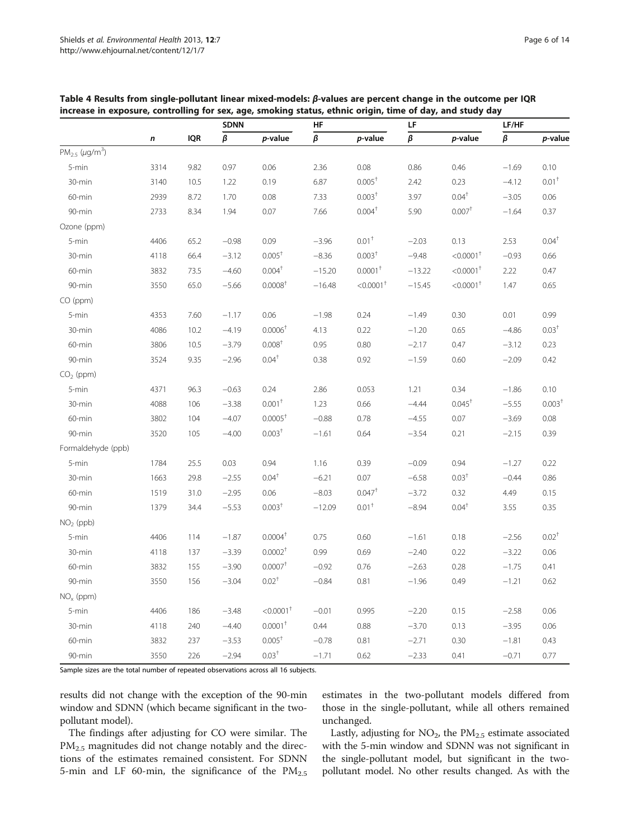|                                 |           |            | <b>SDNN</b>   |                         | HF       |                         | LF            |                         | LF/HF         |                    |  |
|---------------------------------|-----------|------------|---------------|-------------------------|----------|-------------------------|---------------|-------------------------|---------------|--------------------|--|
|                                 | $\pmb{n}$ | <b>IQR</b> | $\pmb{\beta}$ | p-value                 | $\beta$  | p-value                 | $\pmb{\beta}$ | p-value                 | $\pmb{\beta}$ | p-value            |  |
| $PM_{2.5}$ (µg/m <sup>3</sup> ) |           |            |               |                         |          |                         |               |                         |               |                    |  |
| 5-min                           | 3314      | 9.82       | 0.97          | 0.06                    | 2.36     | 0.08                    | 0.86          | 0.46                    | $-1.69$       | 0.10               |  |
| 30-min                          | 3140      | 10.5       | 1.22          | 0.19                    | 6.87     | $0.005^{\dagger}$       | 2.42          | 0.23                    | $-4.12$       | $0.01^+$           |  |
| 60-min                          | 2939      | 8.72       | 1.70          | 0.08                    | 7.33     | 0.003 <sup>†</sup>      | 3.97          | $0.04^{\dagger}$        | $-3.05$       | 0.06               |  |
| 90-min                          | 2733      | 8.34       | 1.94          | 0.07                    | 7.66     | 0.004 <sup>†</sup>      | 5.90          | 0.007 <sup>†</sup>      | $-1.64$       | 0.37               |  |
| Ozone (ppm)                     |           |            |               |                         |          |                         |               |                         |               |                    |  |
| 5-min                           | 4406      | 65.2       | $-0.98$       | 0.09                    | $-3.96$  | $0.01^+$                | $-2.03$       | 0.13                    | 2.53          | $0.04^{\dagger}$   |  |
| 30-min                          | 4118      | 66.4       | $-3.12$       | $0.005^+$               | $-8.36$  | 0.003 <sup>†</sup>      | $-9.48$       | $< 0.0001$ <sup>+</sup> | $-0.93$       | 0.66               |  |
| 60-min                          | 3832      | 73.5       | $-4.60$       | $0.004^{\dagger}$       | $-15.20$ | $0.0001^+$              | $-13.22$      | $< 0.0001$ <sup>+</sup> | 2.22          | 0.47               |  |
| 90-min                          | 3550      | 65.0       | $-5.66$       | 0.0008 <sup>†</sup>     | $-16.48$ | $< 0.0001$ <sup>+</sup> | $-15.45$      | $< 0.0001$ <sup>+</sup> | 1.47          | 0.65               |  |
| CO (ppm)                        |           |            |               |                         |          |                         |               |                         |               |                    |  |
| 5-min                           | 4353      | 7.60       | $-1.17$       | 0.06                    | $-1.98$  | 0.24                    | $-1.49$       | 0.30                    | 0.01          | 0.99               |  |
| 30-min                          | 4086      | 10.2       | $-4.19$       | $0.0006+$               | 4.13     | 0.22                    | $-1.20$       | 0.65                    | $-4.86$       | 0.03 <sup>†</sup>  |  |
| 60-min                          | 3806      | 10.5       | $-3.79$       | 0.008 <sup>†</sup>      | 0.95     | 0.80                    | $-2.17$       | 0.47                    | $-3.12$       | 0.23               |  |
| 90-min                          | 3524      | 9.35       | $-2.96$       | $0.04^{\dagger}$        | 0.38     | 0.92                    | $-1.59$       | 0.60                    | $-2.09$       | 0.42               |  |
| $CO2$ (ppm)                     |           |            |               |                         |          |                         |               |                         |               |                    |  |
| 5-min                           | 4371      | 96.3       | $-0.63$       | 0.24                    | 2.86     | 0.053                   | 1.21          | 0.34                    | $-1.86$       | 0.10               |  |
| 30-min                          | 4088      | 106        | $-3.38$       | $0.001+$                | 1.23     | 0.66                    | $-4.44$       | $0.045^{\dagger}$       | $-5.55$       | 0.003 <sup>†</sup> |  |
| 60-min                          | 3802      | 104        | $-4.07$       | $0.0005+$               | $-0.88$  | 0.78                    | $-4.55$       | 0.07                    | $-3.69$       | 0.08               |  |
| 90-min                          | 3520      | 105        | $-4.00$       | 0.003 <sup>†</sup>      | $-1.61$  | 0.64                    | $-3.54$       | 0.21                    | $-2.15$       | 0.39               |  |
| Formaldehyde (ppb)              |           |            |               |                         |          |                         |               |                         |               |                    |  |
| 5-min                           | 1784      | 25.5       | 0.03          | 0.94                    | 1.16     | 0.39                    | $-0.09$       | 0.94                    | $-1.27$       | 0.22               |  |
| 30-min                          | 1663      | 29.8       | $-2.55$       | $0.04^{\dagger}$        | $-6.21$  | 0.07                    | $-6.58$       | 0.03 <sup>†</sup>       | $-0.44$       | 0.86               |  |
| 60-min                          | 1519      | 31.0       | $-2.95$       | 0.06                    | $-8.03$  | $0.047$ <sup>†</sup>    | $-3.72$       | 0.32                    | 4.49          | 0.15               |  |
| 90-min                          | 1379      | 34.4       | $-5.53$       | 0.003 <sup>†</sup>      | $-12.09$ | 0.01 <sup>†</sup>       | $-8.94$       | $0.04^+$                | 3.55          | 0.35               |  |
| $NO2$ (ppb)                     |           |            |               |                         |          |                         |               |                         |               |                    |  |
| 5-min                           | 4406      | 114        | $-1.87$       | 0.0004 <sup>†</sup>     | 0.75     | 0.60                    | $-1.61$       | 0.18                    | $-2.56$       | $0.02^+$           |  |
| 30-min                          | 4118      | 137        | $-3.39$       | 0.0002 <sup>†</sup>     | 0.99     | 0.69                    | $-2.40$       | 0.22                    | $-3.22$       | 0.06               |  |
| 60-min                          | 3832      | 155        | $-3.90$       | $0.0007$ <sup>+</sup>   | $-0.92$  | 0.76                    | $-2.63$       | 0.28                    | $-1.75$       | 0.41               |  |
| 90-min                          | 3550      | 156        | $-3.04$       | $0.02^{\dagger}$        | $-0.84$  | 0.81                    | $-1.96$       | 0.49                    | $-1.21$       | 0.62               |  |
| $NOx$ (ppm)                     |           |            |               |                         |          |                         |               |                         |               |                    |  |
| 5-min                           | 4406      | 186        | $-3.48$       | $< 0.0001$ <sup>+</sup> | $-0.01$  | 0.995                   | $-2.20$       | 0.15                    | $-2.58$       | 0.06               |  |
| 30-min                          | 4118      | 240        | $-4.40$       | $0.0001^+$              | 0.44     | 0.88                    | $-3.70$       | 0.13                    | $-3.95$       | 0.06               |  |
| 60-min                          | 3832      | 237        | $-3.53$       | $0.005^+$               | $-0.78$  | 0.81                    | $-2.71$       | 0.30                    | $-1.81$       | 0.43               |  |
| 90-min                          | 3550      | 226        | $-2.94$       | $0.03^{\dagger}$        | $-1.71$  | 0.62                    | $-2.33$       | 0.41                    | $-0.71$       | 0.77               |  |

<span id="page-5-0"></span>Table 4 Results from single-pollutant linear mixed-models: β-values are percent change in the outcome per IQR increase in exposure, controlling for sex, age, smoking status, ethnic origin, time of day, and study day

Sample sizes are the total number of repeated observations across all 16 subjects.

results did not change with the exception of the 90-min window and SDNN (which became significant in the twopollutant model).

The findings after adjusting for CO were similar. The PM<sub>2.5</sub> magnitudes did not change notably and the directions of the estimates remained consistent. For SDNN 5-min and LF 60-min, the significance of the  $PM_{2.5}$  estimates in the two-pollutant models differed from those in the single-pollutant, while all others remained unchanged.

Lastly, adjusting for  $NO<sub>2</sub>$ , the  $PM<sub>2.5</sub>$  estimate associated with the 5-min window and SDNN was not significant in the single-pollutant model, but significant in the twopollutant model. No other results changed. As with the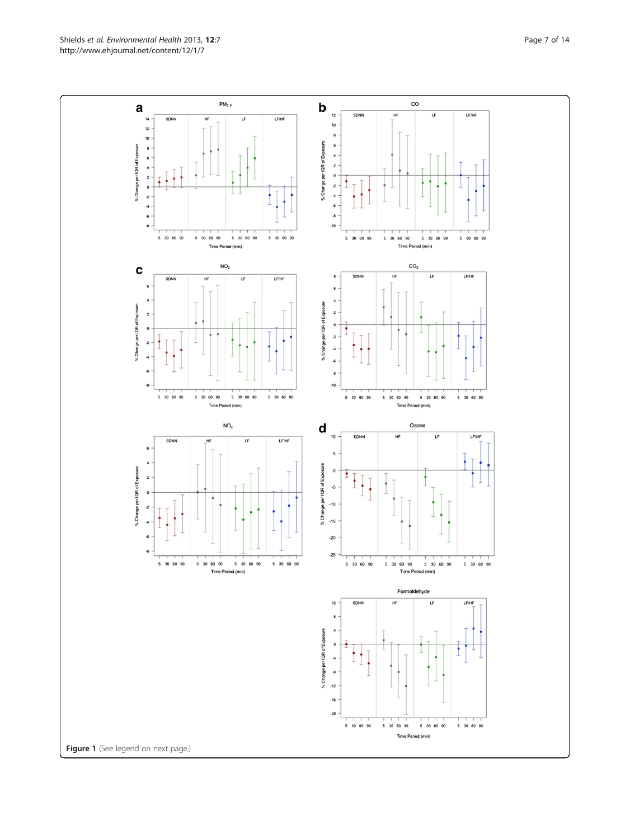Shields et al. Environmental Health 2013, 12:7 et al. Environmental Health 2013, 12:7 http://www.ehjournal.net/content/12/1/7

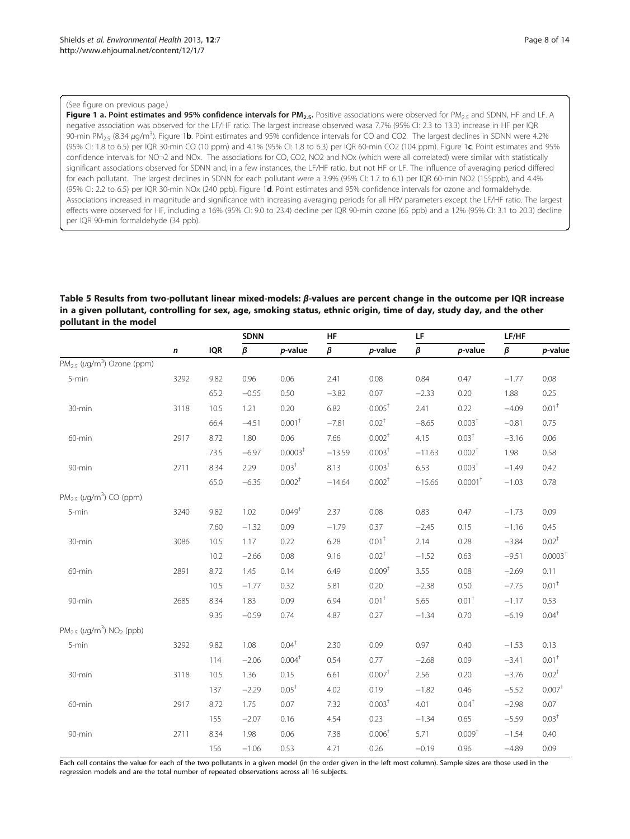## <span id="page-7-0"></span>(See figure on previous page.)

Figure 1 a. Point estimates and 95% confidence intervals for PM<sub>2.5</sub>. Positive associations were observed for PM<sub>2.5</sub> and SDNN, HF and LF. A negative association was observed for the LF/HF ratio. The largest increase observed wasa 7.7% (95% CI: 2.3 to 13.3) increase in HF per IQR 90-min PM<sub>2.5</sub> (8.34 μg/m<sup>3</sup>). Figure 1**b**. Point estimates and 95% confidence intervals for CO and CO2. The largest declines in SDNN were 4.2% (95% CI: 1.8 to 6.5) per IQR 30-min CO (10 ppm) and 4.1% (95% CI: 1.8 to 6.3) per IQR 60-min CO2 (104 ppm). Figure 1c. Point estimates and 95% confidence intervals for NO-2 and NOx. The associations for CO, CO2, NO2 and NOx (which were all correlated) were similar with statistically significant associations observed for SDNN and, in a few instances, the LF/HF ratio, but not HF or LF. The influence of averaging period differed for each pollutant. The largest declines in SDNN for each pollutant were a 3.9% (95% CI: 1.7 to 6.1) per IQR 60-min NO2 (155ppb), and 4.4% (95% CI: 2.2 to 6.5) per IQR 30-min NOx (240 ppb). Figure 1d. Point estimates and 95% confidence intervals for ozone and formaldehyde. Associations increased in magnitude and significance with increasing averaging periods for all HRV parameters except the LF/HF ratio. The largest effects were observed for HF, including a 16% (95% CI: 9.0 to 23.4) decline per IQR 90-min ozone (65 ppb) and a 12% (95% CI: 3.1 to 20.3) decline per IQR 90-min formaldehyde (34 ppb).

## Table 5 Results from two-pollutant linear mixed-models: β-values are percent change in the outcome per IQR increase in a given pollutant, controlling for sex, age, smoking status, ethnic origin, time of day, study day, and the other pollutant in the model

|                                                             |      |            | <b>SDNN</b> |                     | HF       |                    | LF       |                       | LF/HF   |                  |
|-------------------------------------------------------------|------|------------|-------------|---------------------|----------|--------------------|----------|-----------------------|---------|------------------|
|                                                             | n    | <b>IQR</b> | β           | p-value             | $\beta$  | p-value            | β        | p-value               | β       | p-value          |
| $PM_{2.5}$ ( $\mu$ g/m <sup>3</sup> ) Ozone (ppm)           |      |            |             |                     |          |                    |          |                       |         |                  |
| 5-min                                                       | 3292 | 9.82       | 0.96        | 0.06                | 2.41     | 0.08               | 0.84     | 0.47                  | $-1.77$ | 0.08             |
|                                                             |      | 65.2       | $-0.55$     | 0.50                | $-3.82$  | 0.07               | $-2.33$  | 0.20                  | 1.88    | 0.25             |
| 30-min                                                      | 3118 | 10.5       | 1.21        | 0.20                | 6.82     | $0.005^+$          | 2.41     | 0.22                  | $-4.09$ | $0.01^+$         |
|                                                             |      | 66.4       | $-4.51$     | $0.001+$            | $-7.81$  | $0.02^{+}$         | $-8.65$  | 0.003 <sup>†</sup>    | $-0.81$ | 0.75             |
| 60-min                                                      | 2917 | 8.72       | 1.80        | 0.06                | 7.66     | $0.002^{\dagger}$  | 4.15     | $0.03^{+}$            | $-3.16$ | 0.06             |
|                                                             |      | 73.5       | $-6.97$     | 0.0003 <sup>†</sup> | $-13.59$ | 0.003 <sup>†</sup> | $-11.63$ | 0.002 <sup>†</sup>    | 1.98    | 0.58             |
| 90-min                                                      | 2711 | 8.34       | 2.29        | 0.03 <sup>†</sup>   | 8.13     | 0.003 <sup>†</sup> | 6.53     | 0.003 <sup>†</sup>    | $-1.49$ | 0.42             |
|                                                             |      | 65.0       | $-6.35$     | 0.002 <sup>†</sup>  | $-14.64$ | 0.002 <sup>†</sup> | $-15.66$ | $0.0001$ <sup>+</sup> | $-1.03$ | 0.78             |
| $PM_{2.5}$ ( $\mu$ g/m <sup>3</sup> ) CO (ppm)              |      |            |             |                     |          |                    |          |                       |         |                  |
| 5-min                                                       | 3240 | 9.82       | 1.02        | 0.049 <sup>†</sup>  | 2.37     | 0.08               | 0.83     | 0.47                  | $-1.73$ | 0.09             |
|                                                             |      | 7.60       | $-1.32$     | 0.09                | $-1.79$  | 0.37               | $-2.45$  | 0.15                  | $-1.16$ | 0.45             |
| 30-min                                                      | 3086 | 10.5       | 1.17        | 0.22                | 6.28     | $0.01+$            | 2.14     | 0.28                  | $-3.84$ | $0.02^+$         |
|                                                             |      | 10.2       | $-2.66$     | 0.08                | 9.16     | $0.02^+$           | $-1.52$  | 0.63                  | $-9.51$ | $0.0003+$        |
| 60-min                                                      | 2891 | 8.72       | 1.45        | 0.14                | 6.49     | 0.009 <sup>†</sup> | 3.55     | 0.08                  | $-2.69$ | 0.11             |
|                                                             |      | 10.5       | $-1.77$     | 0.32                | 5.81     | 0.20               | $-2.38$  | 0.50                  | $-7.75$ | $0.01^+$         |
| 90-min                                                      | 2685 | 8.34       | 1.83        | 0.09                | 6.94     | $0.01+$            | 5.65     | $0.01+$               | $-1.17$ | 0.53             |
|                                                             |      | 9.35       | $-0.59$     | 0.74                | 4.87     | 0.27               | $-1.34$  | 0.70                  | $-6.19$ | $0.04^{\dagger}$ |
| $PM_{2.5}$ ( $\mu$ g/m <sup>3</sup> ) NO <sub>2</sub> (ppb) |      |            |             |                     |          |                    |          |                       |         |                  |
| 5-min                                                       | 3292 | 9.82       | 1.08        | $0.04^+$            | 2.30     | 0.09               | 0.97     | 0.40                  | $-1.53$ | 0.13             |
|                                                             |      | 114        | $-2.06$     | $0.004^{\dagger}$   | 0.54     | 0.77               | $-2.68$  | 0.09                  | $-3.41$ | $0.01^+$         |
| 30-min                                                      | 3118 | 10.5       | 1.36        | 0.15                | 6.61     | $0.007+$           | 2.56     | 0.20                  | $-3.76$ | $0.02^+$         |
|                                                             |      | 137        | $-2.29$     | $0.05^+$            | 4.02     | 0.19               | $-1.82$  | 0.46                  | $-5.52$ | $0.007+$         |
| 60-min                                                      | 2917 | 8.72       | 1.75        | 0.07                | 7.32     | 0.003 <sup>†</sup> | 4.01     | $0.04^{\dagger}$      | $-2.98$ | 0.07             |
|                                                             |      | 155        | $-2.07$     | 0.16                | 4.54     | 0.23               | $-1.34$  | 0.65                  | $-5.59$ | $0.03^+$         |
| 90-min                                                      | 2711 | 8.34       | 1.98        | 0.06                | 7.38     | 0.006 <sup>†</sup> | 5.71     | 0.009 <sup>†</sup>    | $-1.54$ | 0.40             |
|                                                             |      | 156        | $-1.06$     | 0.53                | 4.71     | 0.26               | $-0.19$  | 0.96                  | $-4.89$ | 0.09             |

Each cell contains the value for each of the two pollutants in a given model (in the order given in the left most column). Sample sizes are those used in the regression models and are the total number of repeated observations across all 16 subjects.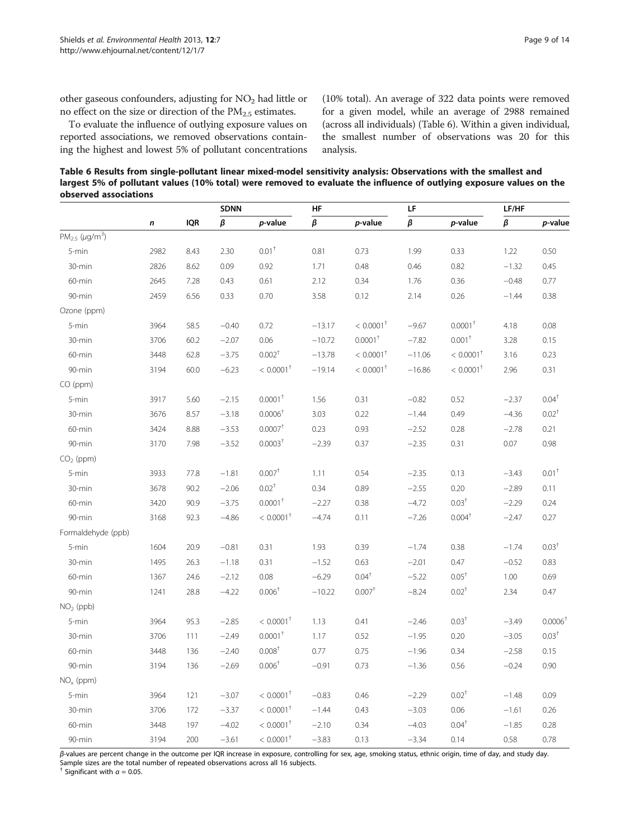other gaseous confounders, adjusting for NO<sub>2</sub> had little or no effect on the size or direction of the  $PM_{2.5}$  estimates.

To evaluate the influence of outlying exposure values on reported associations, we removed observations containing the highest and lowest 5% of pollutant concentrations (10% total). An average of 322 data points were removed for a given model, while an average of 2988 remained (across all individuals) (Table 6). Within a given individual, the smallest number of observations was 20 for this analysis.

Table 6 Results from single-pollutant linear mixed-model sensitivity analysis: Observations with the smallest and largest 5% of pollutant values (10% total) were removed to evaluate the influence of outlying exposure values on the observed associations

|                                       |           |            | <b>SDNN</b>   |                         | HF            |                         | LF       |                         | LF/HF   |                     |
|---------------------------------------|-----------|------------|---------------|-------------------------|---------------|-------------------------|----------|-------------------------|---------|---------------------|
|                                       | $\pmb{n}$ | <b>IQR</b> | $\pmb{\beta}$ | p-value                 | $\pmb{\beta}$ | p-value                 | $\beta$  | p-value                 | $\beta$ | p-value             |
| $PM_{2.5}$ ( $\mu$ g/m <sup>3</sup> ) |           |            |               |                         |               |                         |          |                         |         |                     |
| 5-min                                 | 2982      | 8.43       | 2.30          | 0.01 <sup>†</sup>       | 0.81          | 0.73                    | 1.99     | 0.33                    | 1.22    | 0.50                |
| 30-min                                | 2826      | 8.62       | 0.09          | 0.92                    | 1.71          | 0.48                    | 0.46     | 0.82                    | $-1.32$ | 0.45                |
| 60-min                                | 2645      | 7.28       | 0.43          | 0.61                    | 2.12          | 0.34                    | 1.76     | 0.36                    | $-0.48$ | 0.77                |
| 90-min                                | 2459      | 6.56       | 0.33          | 0.70                    | 3.58          | 0.12                    | 2.14     | 0.26                    | $-1.44$ | 0.38                |
| Ozone (ppm)                           |           |            |               |                         |               |                         |          |                         |         |                     |
| 5-min                                 | 3964      | 58.5       | $-0.40$       | 0.72                    | $-13.17$      | $< 0.0001$ <sup>†</sup> | $-9.67$  | $0.0001$ <sup>T</sup>   | 4.18    | 0.08                |
| 30-min                                | 3706      | 60.2       | $-2.07$       | 0.06                    | $-10.72$      | $0.0001^+$              | $-7.82$  | $0.001^+$               | 3.28    | 0.15                |
| 60-min                                | 3448      | 62.8       | $-3.75$       | $0.002^+$               | $-13.78$      | $< 0.0001$ <sup>+</sup> | $-11.06$ | $< 0.0001$ <sup>+</sup> | 3.16    | 0.23                |
| 90-min                                | 3194      | 60.0       | $-6.23$       | $< 0.0001$ <sup>†</sup> | $-19.14$      | $< 0.0001$ <sup>+</sup> | $-16.86$ | $< 0.0001$ <sup>+</sup> | 2.96    | 0.31                |
| $CO$ (ppm)                            |           |            |               |                         |               |                         |          |                         |         |                     |
| 5-min                                 | 3917      | 5.60       | $-2.15$       | $0.0001+$               | 1.56          | 0.31                    | $-0.82$  | 0.52                    | $-2.37$ | $0.04^+$            |
| 30-min                                | 3676      | 8.57       | $-3.18$       | 0.0006 <sup>†</sup>     | 3.03          | 0.22                    | $-1.44$  | 0.49                    | $-4.36$ | $0.02^+$            |
| 60-min                                | 3424      | 8.88       | $-3.53$       | $0.0007$ <sup>†</sup>   | 0.23          | 0.93                    | $-2.52$  | 0.28                    | $-2.78$ | 0.21                |
| 90-min                                | 3170      | 7.98       | $-3.52$       | 0.0003 <sup>†</sup>     | $-2.39$       | 0.37                    | $-2.35$  | 0.31                    | 0.07    | 0.98                |
| $CO2$ (ppm)                           |           |            |               |                         |               |                         |          |                         |         |                     |
| 5-min                                 | 3933      | 77.8       | $-1.81$       | $0.007$ <sup>+</sup>    | 1.11          | 0.54                    | $-2.35$  | 0.13                    | $-3.43$ | $0.01^+$            |
| 30-min                                | 3678      | 90.2       | $-2.06$       | $0.02^+$                | 0.34          | 0.89                    | $-2.55$  | 0.20                    | $-2.89$ | 0.11                |
| 60-min                                | 3420      | 90.9       | $-3.75$       | $0.0001^+$              | $-2.27$       | 0.38                    | $-4.72$  | 0.03 <sup>†</sup>       | $-2.29$ | 0.24                |
| 90-min                                | 3168      | 92.3       | $-4.86$       | $< 0.0001^{\dagger}$    | $-4.74$       | 0.11                    | $-7.26$  | $0.004^{\dagger}$       | $-2.47$ | 0.27                |
| Formaldehyde (ppb)                    |           |            |               |                         |               |                         |          |                         |         |                     |
| 5-min                                 | 1604      | 20.9       | $-0.81$       | 0.31                    | 1.93          | 0.39                    | $-1.74$  | 0.38                    | $-1.74$ | 0.03 <sup>†</sup>   |
| 30-min                                | 1495      | 26.3       | $-1.18$       | 0.31                    | $-1.52$       | 0.63                    | $-2.01$  | 0.47                    | $-0.52$ | 0.83                |
| 60-min                                | 1367      | 24.6       | $-2.12$       | 0.08                    | $-6.29$       | $0.04^{\dagger}$        | $-5.22$  | $0.05^+$                | 1.00    | 0.69                |
| 90-min                                | 1241      | 28.8       | $-4.22$       | 0.006 <sup>†</sup>      | $-10.22$      | 0.007 <sup>†</sup>      | $-8.24$  | $0.02^+$                | 2.34    | 0.47                |
| $NO2$ (ppb)                           |           |            |               |                         |               |                         |          |                         |         |                     |
| 5-min                                 | 3964      | 95.3       | $-2.85$       | $< 0.0001$ <sup>+</sup> | 1.13          | 0.41                    | $-2.46$  | 0.03 <sup>†</sup>       | $-3.49$ | 0.0006 <sup>†</sup> |
| 30-min                                | 3706      | 111        | $-2.49$       | $0.0001+$               | 1.17          | 0.52                    | $-1.95$  | 0.20                    | $-3.05$ | 0.03 <sup>†</sup>   |
| 60-min                                | 3448      | 136        | $-2.40$       | $0.008+$                | 0.77          | 0.75                    | $-1.96$  | 0.34                    | $-2.58$ | 0.15                |
| 90-min                                | 3194      | 136        | $-2.69$       | 0.006 <sup>†</sup>      | $-0.91$       | 0.73                    | $-1.36$  | 0.56                    | $-0.24$ | 0.90                |
| $NOx$ (ppm)                           |           |            |               |                         |               |                         |          |                         |         |                     |
| 5-min                                 | 3964      | 121        | $-3.07$       | $< 0.0001$ <sup>†</sup> | $-0.83$       | 0.46                    | $-2.29$  | $0.02^+$                | $-1.48$ | 0.09                |
| 30-min                                | 3706      | 172        | $-3.37$       | $< 0.0001$ <sup>†</sup> | $-1.44$       | 0.43                    | $-3.03$  | 0.06                    | $-1.61$ | 0.26                |
| 60-min                                | 3448      | 197        | $-4.02$       | $< 0.0001$ <sup>†</sup> | $-2.10$       | 0.34                    | $-4.03$  | $0.04^{\dagger}$        | $-1.85$ | 0.28                |
| 90-min                                | 3194      | 200        | $-3.61$       | $< 0.0001$ <sup>†</sup> | $-3.83$       | 0.13                    | $-3.34$  | 0.14                    | 0.58    | 0.78                |

β-values are percent change in the outcome per IQR increase in exposure, controlling for sex, age, smoking status, ethnic origin, time of day, and study day. Sample sizes are the total number of repeated observations across all 16 subjects.

<sup>†</sup> Significant with  $\alpha$  = 0.05.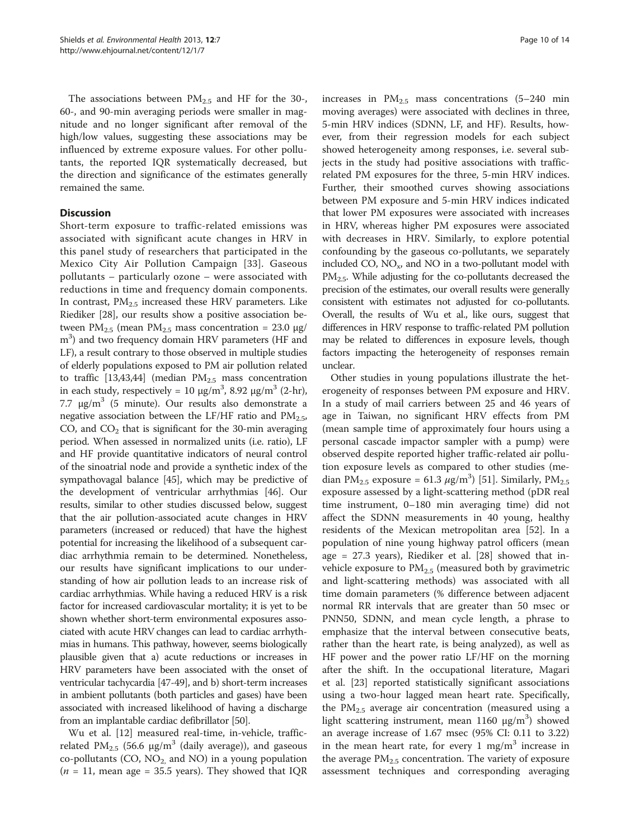The associations between  $PM_{2.5}$  and HF for the 30-, 60-, and 90-min averaging periods were smaller in magnitude and no longer significant after removal of the high/low values, suggesting these associations may be influenced by extreme exposure values. For other pollutants, the reported IQR systematically decreased, but the direction and significance of the estimates generally remained the same.

## **Discussion**

Short-term exposure to traffic-related emissions was associated with significant acute changes in HRV in this panel study of researchers that participated in the Mexico City Air Pollution Campaign [[33\]](#page-12-0). Gaseous pollutants – particularly ozone – were associated with reductions in time and frequency domain components. In contrast,  $PM_{2.5}$  increased these HRV parameters. Like Riediker [[28](#page-12-0)], our results show a positive association between  $PM_{2.5}$  (mean  $PM_{2.5}$  mass concentration = 23.0 μg/ m<sup>3</sup>) and two frequency domain HRV parameters (HF and LF), a result contrary to those observed in multiple studies of elderly populations exposed to PM air pollution related to traffic [[13,](#page-11-0)[43,44\]](#page-12-0) (median  $PM_{2.5}$  mass concentration in each study, respectively =  $10 \text{ µg/m}^3$ , 8.92  $\text{µg/m}^3$  (2-hr), 7.7  $\mu$ g/m<sup>3</sup> (5 minute). Our results also demonstrate a negative association between the LF/HF ratio and  $PM_{2.5}$ , CO, and  $CO<sub>2</sub>$  that is significant for the 30-min averaging period. When assessed in normalized units (i.e. ratio), LF and HF provide quantitative indicators of neural control of the sinoatrial node and provide a synthetic index of the sympathovagal balance [\[45\]](#page-12-0), which may be predictive of the development of ventricular arrhythmias [\[46\]](#page-12-0). Our results, similar to other studies discussed below, suggest that the air pollution-associated acute changes in HRV parameters (increased or reduced) that have the highest potential for increasing the likelihood of a subsequent cardiac arrhythmia remain to be determined. Nonetheless, our results have significant implications to our understanding of how air pollution leads to an increase risk of cardiac arrhythmias. While having a reduced HRV is a risk factor for increased cardiovascular mortality; it is yet to be shown whether short-term environmental exposures associated with acute HRV changes can lead to cardiac arrhythmias in humans. This pathway, however, seems biologically plausible given that a) acute reductions or increases in HRV parameters have been associated with the onset of ventricular tachycardia [\[47-49\]](#page-12-0), and b) short-term increases in ambient pollutants (both particles and gases) have been associated with increased likelihood of having a discharge from an implantable cardiac defibrillator [\[50\]](#page-12-0).

Wu et al. [[12](#page-11-0)] measured real-time, in-vehicle, trafficrelated  $PM_{2.5}$  (56.6  $\mu$ g/m<sup>3</sup> (daily average)), and gaseous co-pollutants (CO,  $NO<sub>2</sub>$  and NO) in a young population  $(n = 11)$ , mean age = 35.5 years). They showed that IQR

increases in  $PM_{2.5}$  mass concentrations (5-240 min moving averages) were associated with declines in three, 5-min HRV indices (SDNN, LF, and HF). Results, however, from their regression models for each subject showed heterogeneity among responses, i.e. several subjects in the study had positive associations with trafficrelated PM exposures for the three, 5-min HRV indices. Further, their smoothed curves showing associations between PM exposure and 5-min HRV indices indicated that lower PM exposures were associated with increases in HRV, whereas higher PM exposures were associated with decreases in HRV. Similarly, to explore potential confounding by the gaseous co-pollutants, we separately included CO,  $NO<sub>x</sub>$ , and NO in a two-pollutant model with  $PM_{2.5}$ . While adjusting for the co-pollutants decreased the precision of the estimates, our overall results were generally consistent with estimates not adjusted for co-pollutants. Overall, the results of Wu et al., like ours, suggest that differences in HRV response to traffic-related PM pollution may be related to differences in exposure levels, though factors impacting the heterogeneity of responses remain unclear.

Other studies in young populations illustrate the heterogeneity of responses between PM exposure and HRV. In a study of mail carriers between 25 and 46 years of age in Taiwan, no significant HRV effects from PM (mean sample time of approximately four hours using a personal cascade impactor sampler with a pump) were observed despite reported higher traffic-related air pollution exposure levels as compared to other studies (median PM<sub>2.5</sub> exposure = 61.3  $\mu$ g/m<sup>3</sup>) [[51](#page-12-0)]. Similarly, PM<sub>2.5</sub> exposure assessed by a light-scattering method (pDR real time instrument, 0–180 min averaging time) did not affect the SDNN measurements in 40 young, healthy residents of the Mexican metropolitan area [\[52](#page-12-0)]. In a population of nine young highway patrol officers (mean age = 27.3 years), Riediker et al. [\[28](#page-12-0)] showed that invehicle exposure to  $PM_{2.5}$  (measured both by gravimetric and light-scattering methods) was associated with all time domain parameters (% difference between adjacent normal RR intervals that are greater than 50 msec or PNN50, SDNN, and mean cycle length, a phrase to emphasize that the interval between consecutive beats, rather than the heart rate, is being analyzed), as well as HF power and the power ratio LF/HF on the morning after the shift. In the occupational literature, Magari et al. [[23\]](#page-12-0) reported statistically significant associations using a two-hour lagged mean heart rate. Specifically, the  $PM_{2.5}$  average air concentration (measured using a light scattering instrument, mean  $1160 \text{ µg/m}^3$ ) showed an average increase of 1.67 msec (95% CI: 0.11 to 3.22) in the mean heart rate, for every 1 mg/m<sup>3</sup> increase in the average  $PM_{2.5}$  concentration. The variety of exposure assessment techniques and corresponding averaging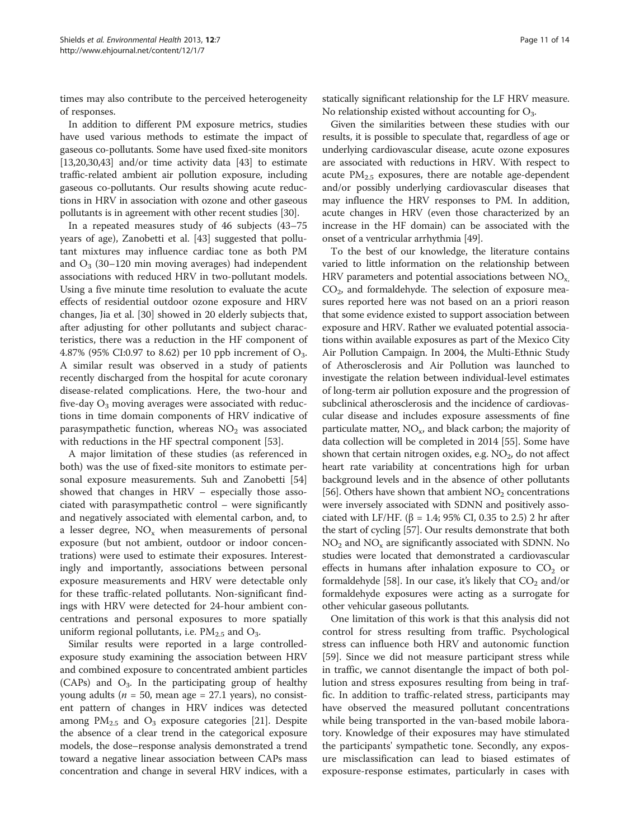times may also contribute to the perceived heterogeneity of responses.

In addition to different PM exposure metrics, studies have used various methods to estimate the impact of gaseous co-pollutants. Some have used fixed-site monitors [[13](#page-11-0)[,20,30,43](#page-12-0)] and/or time activity data [\[43\]](#page-12-0) to estimate traffic-related ambient air pollution exposure, including gaseous co-pollutants. Our results showing acute reductions in HRV in association with ozone and other gaseous pollutants is in agreement with other recent studies [\[30\]](#page-12-0).

In a repeated measures study of 46 subjects (43–75 years of age), Zanobetti et al. [\[43](#page-12-0)] suggested that pollutant mixtures may influence cardiac tone as both PM and  $O_3$  (30–120 min moving averages) had independent associations with reduced HRV in two-pollutant models. Using a five minute time resolution to evaluate the acute effects of residential outdoor ozone exposure and HRV changes, Jia et al. [\[30\]](#page-12-0) showed in 20 elderly subjects that, after adjusting for other pollutants and subject characteristics, there was a reduction in the HF component of 4.87% (95% CI:0.97 to 8.62) per 10 ppb increment of  $O_3$ . A similar result was observed in a study of patients recently discharged from the hospital for acute coronary disease-related complications. Here, the two-hour and five-day  $O_3$  moving averages were associated with reductions in time domain components of HRV indicative of parasympathetic function, whereas  $NO<sub>2</sub>$  was associated with reductions in the HF spectral component [[53\]](#page-12-0).

A major limitation of these studies (as referenced in both) was the use of fixed-site monitors to estimate personal exposure measurements. Suh and Zanobetti [[54](#page-12-0)] showed that changes in HRV – especially those associated with parasympathetic control – were significantly and negatively associated with elemental carbon, and, to a lesser degree,  $NO<sub>x</sub>$  when measurements of personal exposure (but not ambient, outdoor or indoor concentrations) were used to estimate their exposures. Interestingly and importantly, associations between personal exposure measurements and HRV were detectable only for these traffic-related pollutants. Non-significant findings with HRV were detected for 24-hour ambient concentrations and personal exposures to more spatially uniform regional pollutants, i.e.  $PM_{2.5}$  and  $O_3$ .

Similar results were reported in a large controlledexposure study examining the association between HRV and combined exposure to concentrated ambient particles (CAPs) and  $O_3$ . In the participating group of healthy young adults ( $n = 50$ , mean age = 27.1 years), no consistent pattern of changes in HRV indices was detected among  $PM_{2.5}$  and  $O_3$  exposure categories [[21](#page-12-0)]. Despite the absence of a clear trend in the categorical exposure models, the dose–response analysis demonstrated a trend toward a negative linear association between CAPs mass concentration and change in several HRV indices, with a

statically significant relationship for the LF HRV measure. No relationship existed without accounting for  $O_3$ .

Given the similarities between these studies with our results, it is possible to speculate that, regardless of age or underlying cardiovascular disease, acute ozone exposures are associated with reductions in HRV. With respect to acute  $PM_{2.5}$  exposures, there are notable age-dependent and/or possibly underlying cardiovascular diseases that may influence the HRV responses to PM. In addition, acute changes in HRV (even those characterized by an increase in the HF domain) can be associated with the onset of a ventricular arrhythmia [[49](#page-12-0)].

To the best of our knowledge, the literature contains varied to little information on the relationship between HRV parameters and potential associations between  $NO<sub>x</sub>$ ,  $CO<sub>2</sub>$ , and formaldehyde. The selection of exposure measures reported here was not based on an a priori reason that some evidence existed to support association between exposure and HRV. Rather we evaluated potential associations within available exposures as part of the Mexico City Air Pollution Campaign. In 2004, the Multi-Ethnic Study of Atherosclerosis and Air Pollution was launched to investigate the relation between individual-level estimates of long-term air pollution exposure and the progression of subclinical atherosclerosis and the incidence of cardiovascular disease and includes exposure assessments of fine particulate matter,  $NO<sub>x</sub>$ , and black carbon; the majority of data collection will be completed in 2014 [\[55\]](#page-12-0). Some have shown that certain nitrogen oxides, e.g.  $NO<sub>2</sub>$ , do not affect heart rate variability at concentrations high for urban background levels and in the absence of other pollutants [[56](#page-12-0)]. Others have shown that ambient  $NO<sub>2</sub>$  concentrations were inversely associated with SDNN and positively associated with LF/HF. (β = 1.4; 95% CI, 0.35 to 2.5) 2 hr after the start of cycling [\[57\]](#page-12-0). Our results demonstrate that both  $NO<sub>2</sub>$  and  $NO<sub>x</sub>$  are significantly associated with SDNN. No studies were located that demonstrated a cardiovascular effects in humans after inhalation exposure to  $CO<sub>2</sub>$  or formaldehyde [[58](#page-12-0)]. In our case, it's likely that  $CO<sub>2</sub>$  and/or formaldehyde exposures were acting as a surrogate for other vehicular gaseous pollutants.

One limitation of this work is that this analysis did not control for stress resulting from traffic. Psychological stress can influence both HRV and autonomic function [[59\]](#page-12-0). Since we did not measure participant stress while in traffic, we cannot disentangle the impact of both pollution and stress exposures resulting from being in traffic. In addition to traffic-related stress, participants may have observed the measured pollutant concentrations while being transported in the van-based mobile laboratory. Knowledge of their exposures may have stimulated the participants' sympathetic tone. Secondly, any exposure misclassification can lead to biased estimates of exposure-response estimates, particularly in cases with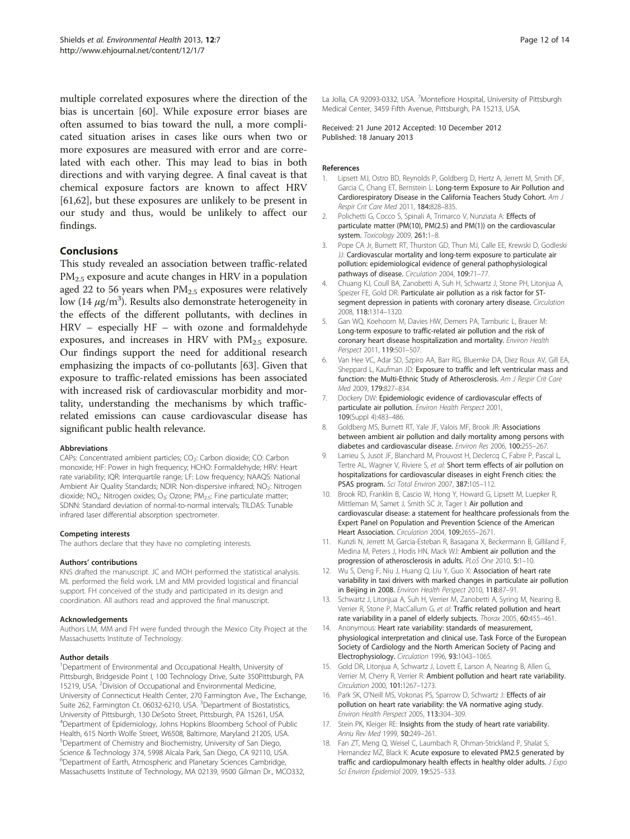<span id="page-11-0"></span>multiple correlated exposures where the direction of the bias is uncertain [\[60](#page-13-0)]. While exposure error biases are often assumed to bias toward the null, a more complicated situation arises in cases like ours when two or more exposures are measured with error and are correlated with each other. This may lead to bias in both directions and with varying degree. A final caveat is that chemical exposure factors are known to affect HRV [[61,62\]](#page-13-0), but these exposures are unlikely to be present in our study and thus, would be unlikely to affect our findings.

## Conclusions

This study revealed an association between traffic-related  $PM_{2.5}$  exposure and acute changes in HRV in a population aged 22 to 56 years when  $PM<sub>2.5</sub>$  exposures were relatively low (14  $\mu$ g/m<sup>3</sup>). Results also demonstrate heterogeneity in the effects of the different pollutants, with declines in HRV – especially HF – with ozone and formaldehyde exposures, and increases in HRV with  $PM_{2.5}$  exposure. Our findings support the need for additional research emphasizing the impacts of co-pollutants [[63\]](#page-13-0). Given that exposure to traffic-related emissions has been associated with increased risk of cardiovascular morbidity and mortality, understanding the mechanisms by which trafficrelated emissions can cause cardiovascular disease has significant public health relevance.

#### Abbreviations

CAPs: Concentrated ambient particles; CO<sub>2</sub>: Carbon dioxide; CO: Carbon monoxide; HF: Power in high frequency; HCHO: Formaldehyde; HRV: Heart rate variability; IQR: Interquartile range; LF: Low frequency; NAAQS: National Ambient Air Quality Standards; NDIR: Non-dispersive infrared; NO<sub>2</sub>: Nitrogen dioxide; NO<sub>x</sub>: Nitrogen oxides; O<sub>3</sub>: Ozone; PM<sub>2.5</sub>: Fine particulate matter; SDNN: Standard deviation of normal-to-normal intervals; TILDAS: Tunable infrared laser differential absorption spectrometer.

#### Competing interests

The authors declare that they have no completing interests.

#### Authors' contributions

KNS drafted the manuscript. JC and MOH performed the statistical analysis. ML performed the field work. LM and MM provided logistical and financial support. FH conceived of the study and participated in its design and coordination. All authors read and approved the final manuscript.

#### Acknowledgements

Authors LM, MM and FH were funded through the Mexico City Project at the Massachusetts Institute of Technology.

#### Author details

<sup>1</sup>Department of Environmental and Occupational Health, University of Pittsburgh, Bridgeside Point I, 100 Technology Drive, Suite 350Pittsburgh, PA 15219, USA. <sup>2</sup> Division of Occupational and Environmental Medicine, University of Connecticut Health Center, 270 Farmington Ave., The Exchange, Suite 262, Farmington Ct. 06032-6210, USA. <sup>3</sup>Department of Biostatistics, University of Pittsburgh, 130 DeSoto Street, Pittsburgh, PA 15261, USA. 4 Department of Epidemiology, Johns Hopkins Bloomberg School of Public Health, 615 North Wolfe Street, W6508, Baltimore, Maryland 21205, USA. 5 Department of Chemistry and Biochemistry, University of San Diego, Science & Technology 374, 5998 Alcala Park, San Diego, CA 92110, USA. 6 Department of Earth, Atmospheric and Planetary Sciences Cambridge, Massachusetts Institute of Technology, MA 02139, 9500 Gilman Dr., MCO332,

La Jolla, CA 92093-0332, USA. <sup>7</sup> Montefiore Hospital, University of Pittsburgh Medical Center, 3459 Fifth Avenue, Pittsburgh, PA 15213, USA.

Received: 21 June 2012 Accepted: 10 December 2012 Published: 18 January 2013

#### References

- Lipsett MJ, Ostro BD, Reynolds P, Goldberg D, Hertz A, Jerrett M, Smith DF, Garcia C, Chang ET, Bernstein L: Long-term Exposure to Air Pollution and Cardiorespiratory Disease in the California Teachers Study Cohort. Am J Respir Crit Care Med 2011, 184:828–835.
- 2. Polichetti G, Cocco S, Spinali A, Trimarco V, Nunziata A: Effects of particulate matter (PM(10), PM(2.5) and PM(1)) on the cardiovascular system. Toxicology 2009, 261:1-8.
- 3. Pope CA Jr, Burnett RT, Thurston GD, Thun MJ, Calle EE, Krewski D, Godleski JJ: Cardiovascular mortality and long-term exposure to particulate air pollution: epidemiological evidence of general pathophysiological pathways of disease. Circulation 2004, 109:71-77.
- 4. Chuang KJ, Coull BA, Zanobetti A, Suh H, Schwartz J, Stone PH, Litonjua A, Speizer FE, Gold DR: Particulate air pollution as a risk factor for STsegment depression in patients with coronary artery disease. Circulation 2008, 118:1314–1320.
- 5. Gan WQ, Koehoorn M, Davies HW, Demers PA, Tamburic L, Brauer M: Long-term exposure to traffic-related air pollution and the risk of coronary heart disease hospitalization and mortality. Environ Health Perspect 2011, 119:501–507.
- 6. Van Hee VC, Adar SD, Szpiro AA, Barr RG, Bluemke DA, Diez Roux AV, Gill EA, Sheppard L, Kaufman JD: Exposure to traffic and left ventricular mass and function: the Multi-Ethnic Study of Atherosclerosis. Am J Respir Crit Care Med 2009, 179:827–834.
- 7. Dockery DW: Epidemiologic evidence of cardiovascular effects of particulate air pollution. Environ Health Perspect 2001, 109(Suppl 4):483–486.
- 8. Goldberg MS, Burnett RT, Yale JF, Valois MF, Brook JR: Associations between ambient air pollution and daily mortality among persons with diabetes and cardiovascular disease. Environ Res 2006, 100:255–267.
- Larrieu S, Jusot JF, Blanchard M, Prouvost H, Declercq C, Fabre P, Pascal L, Tertre AL, Wagner V, Riviere S, et al: Short term effects of air pollution on hospitalizations for cardiovascular diseases in eight French cities: the PSAS program. Sci Total Environ 2007, 387:105-112.
- 10. Brook RD, Franklin B, Cascio W, Hong Y, Howard G, Lipsett M, Luepker R, Mittleman M, Samet J, Smith SC Jr, Tager I: Air pollution and cardiovascular disease: a statement for healthcare professionals from the Expert Panel on Population and Prevention Science of the American Heart Association. Circulation 2004, 109:2655-2671.
- 11. Kunzli N, Jerrett M, Garcia-Esteban R, Basagana X, Beckermann B, Gilliland F, Medina M, Peters J, Hodis HN, Mack WJ: Ambient air pollution and the progression of atherosclerosis in adults. PLoS One 2010, 5:1–10.
- 12. Wu S, Deng F, Niu J, Huang Q, Liu Y, Guo X: Association of heart rate variability in taxi drivers with marked changes in particulate air pollution in Beijing in 2008. Environ Health Perspect 2010, 118:87–91.
- 13. Schwartz J, Litonjua A, Suh H, Verrier M, Zanobetti A, Syring M, Nearing B, Verrier R, Stone P, MacCallum G, et al: Traffic related pollution and heart rate variability in a panel of elderly subjects. Thorax 2005, 60:455–461.
- 14. Anonymous: Heart rate variability: standards of measurement, physiological interpretation and clinical use. Task Force of the European Society of Cardiology and the North American Society of Pacing and Electrophysiology. Circulation 1996, 93:1043–1065.
- 15. Gold DR, Litonjua A, Schwartz J, Lovett E, Larson A, Nearing B, Allen G, Verrier M, Cherry R, Verrier R: Ambient pollution and heart rate variability. Circulation 2000, 101:1267–1273.
- 16. Park SK, O'Neill MS, Vokonas PS, Sparrow D, Schwartz J: Effects of air pollution on heart rate variability: the VA normative aging study. Environ Health Perspect 2005, 113:304–309.
- 17. Stein PK, Kleiger RE: Insights from the study of heart rate variability. Annu Rev Med 1999, 50:249–261.
- 18. Fan ZT, Meng Q, Weisel C, Laumbach R, Ohman-Strickland P, Shalat S, Hernandez MZ, Black K: Acute exposure to elevated PM2.5 generated by traffic and cardiopulmonary health effects in healthy older adults. J Expo Sci Environ Epidemiol 2009, 19:525–533.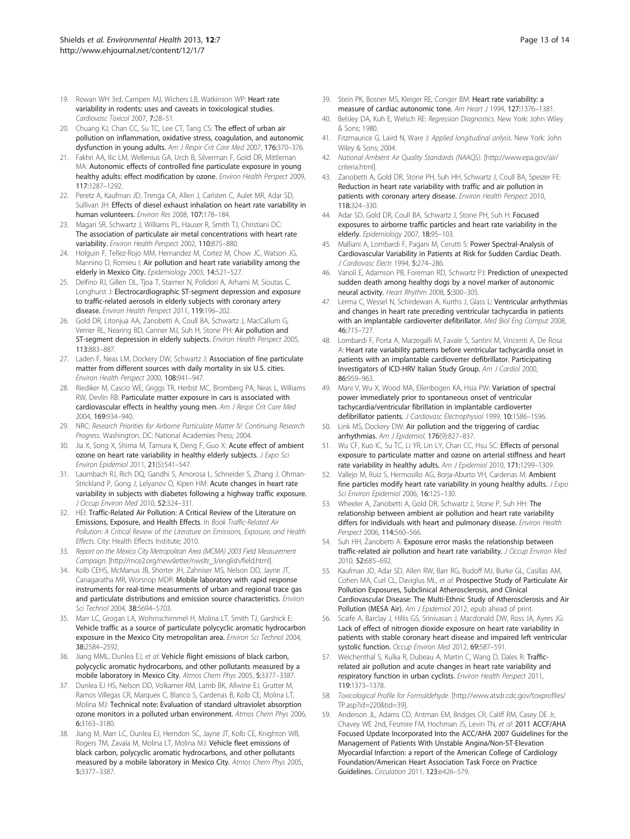- <span id="page-12-0"></span>19. Rowan WH 3rd, Campen MJ, Wichers LB, Watkinson WP: Heart rate variability in rodents: uses and caveats in toxicological studies. Cardiovasc Toxicol 2007, 7:28–51.
- 20. Chuang KJ, Chan CC, Su TC, Lee CT, Tang CS: The effect of urban air pollution on inflammation, oxidative stress, coagulation, and autonomic dysfunction in young adults. Am J Respir Crit Care Med 2007, 176:370-376.
- 21. Fakhri AA, Ilic LM, Wellenius GA, Urch B, Silverman F, Gold DR, Mittleman MA: Autonomic effects of controlled fine particulate exposure in young healthy adults: effect modification by ozone. Environ Health Perspect 2009, 117:1287–1292.
- 22. Peretz A, Kaufman JD, Trenga CA, Allen J, Carlsten C, Aulet MR, Adar SD, Sullivan JH: Effects of diesel exhaust inhalation on heart rate variability in human volunteers. Environ Res 2008, 107:178–184.
- 23. Magari SR, Schwartz J, Williams PL, Hauser R, Smith TJ, Christiani DC: The association of particulate air metal concentrations with heart rate variability. Environ Health Perspect 2002, 110:875–880.
- 24. Holguin F, Tellez-Rojo MM, Hernandez M, Cortez M, Chow JC, Watson JG, Mannino D, Romieu I: Air pollution and heart rate variability among the elderly in Mexico City. Epidemiology 2003, 14:521-527.
- 25. Delfino RJ, Gillen DL, Tjoa T, Staimer N, Polidori A, Arhami M, Sioutas C, Longhurst J: Electrocardiographic ST-segment depression and exposure to traffic-related aerosols in elderly subjects with coronary artery disease. Environ Health Perspect 2011, 119:196–202.
- 26. Gold DR, Litonjua AA, Zanobetti A, Coull BA, Schwartz J, MacCallum G, Verrier RL, Nearing BD, Canner MJ, Suh H, Stone PH: Air pollution and ST-segment depression in elderly subjects. Environ Health Perspect 2005, 113:883–887.
- 27. Laden F, Neas LM, Dockery DW, Schwartz J: Association of fine particulate matter from different sources with daily mortality in six U.S. cities. Environ Health Perspect 2000, 108:941–947.
- 28. Riediker M, Cascio WE, Griggs TR, Herbst MC, Bromberg PA, Neas L, Williams RW, Devlin RB: Particulate matter exposure in cars is associated with cardiovascular effects in healthy young men. Am J Respir Crit Care Med 2004, 169:934–940.
- 29. NRC: Research Priorities for Airborne Particulate Matter IV: Continuing Research Progress. Washington, DC: National Academies Press; 2004.
- 30. Jia X, Song X, Shima M, Tamura K, Deng F, Guo X: Acute effect of ambient ozone on heart rate variability in healthy elderly subjects. J Expo Sci Environ Epidemiol 2011, 21(5):541–547.
- 31. Laumbach RJ, Rich DQ, Gandhi S, Amorosa L, Schneider S, Zhang J, Ohman-Strickland P, Gong J, Lelyanov O, Kipen HM: Acute changes in heart rate variability in subjects with diabetes following a highway traffic exposure. J Occup Environ Med 2010, 52:324–331.
- 32. HEI: Traffic-Related Air Pollution: A Critical Review of the Literature on Emissions, Exposure, and Health Effects. In Book Traffic-Related Air Pollution: A Critical Review of the Literature on Emissions, Exposure, and Health Effects. City: Health Effects Institute; 2010.
- 33. Report on the Mexico City Metropolitan Area (MCMA) 2003 Field Measurement Campaign. [\[http://mce2.org/newsletter/nwsltr\\_3/english/field.html\]](http://mce2.org/newsletter/nwsltr_3/english/field.html).
- 34. Kolb CEHS, McManus JB, Shorter JH, Zahniser MS, Nelson DD, Jayne JT, Canagaratha MR, Worsnop MDR: Mobile laboratory with rapid response instruments for real-time measurments of urban and regional trace gas and particulate distributions and emission source characteristics. Environ Sci Technol 2004, 38:5694–5703.
- 35. Marr LC, Grogan LA, Wohrnschimmel H, Molina LT, Smith TJ, Garshick E: Vehicle traffic as a source of particulate polycyclic aromatic hydrocarbon exposure in the Mexico City metropolitan area. Environ Sci Technol 2004, 38:2584–2592.
- 36. Jiang MML, Dunlea EJ, et al: Vehicle flight emissions of black carbon, polycyclic aromatic hydrocarbons, and other pollutants measured by a mobile laboratory in Mexico City. Atmos Chem Phys 2005, 5:3377–3387.
- 37. Dunlea EJ HS, Nelson DD, Volkamer RM, Lamb BK, Allwine EJ, Grutter M, Ramos Villegas CR, Marquex C, Blanco S, Cardenas B, Kolb CE, Molina LT, Molina MJ: Technical note: Evaluation of standard ultraviolet absorption ozone monitors in a polluted urban environment. Atmos Chem Phys 2006, 6:3163–3180.
- 38. Jiang M, Marr LC, Dunlea EJ, Herndon SC, Jayne JT, Kolb CE, Knighton WB, Rogers TM, Zavala M, Molina LT, Molina MJ: Vehicle fleet emissions of black carbon, polycyclic aromatic hydrocarbons, and other pollutants measured by a mobile laboratory in Mexico City. Atmos Chem Phys 2005, 5:3377–3387.
- 39. Stein PK, Bosner MS, Kleiger RE, Conger BM: Heart rate variability: a measure of cardiac autonomic tone. Am Heart J 1994, 127:1376–1381.
- 40. Belsley DA, Kuh E, Welsch RE: Regression Diagnostics. New York: John Wiley & Sons; 1980.
- 41. Fitzmaurice G, Laird N, Ware J: Applied longitudinal anlysis. New York: John Wiley & Sons; 2004.
- 42. National Ambient Air Quality Standards (NAAQS). [\[http://www.epa.gov/air/](http://www.epa.gov/air/criteria.html) [criteria.html](http://www.epa.gov/air/criteria.html)].
- 43. Zanobetti A, Gold DR, Stone PH, Suh HH, Schwartz J, Coull BA, Speizer FE: Reduction in heart rate variability with traffic and air pollution in patients with coronary artery disease. Environ Health Perspect 2010, 118:324–330.
- 44. Adar SD, Gold DR, Coull BA, Schwartz J, Stone PH, Suh H: Focused exposures to airborne traffic particles and heart rate variability in the elderly. Epidemiology 2007, 18:95–103.
- 45. Malliani A, Lombardi F, Pagani M, Cerutti S: Power Spectral-Analysis of Cardiovascular Variability in Patients at Risk for Sudden Cardiac Death. J Cardiovasc Electr 1994, 5:274–286.
- 46. Vanoli E, Adamson PB, Foreman RD, Schwartz PJ: Prediction of unexpected sudden death among healthy dogs by a novel marker of autonomic neural activity. Heart Rhythm 2008, 5:300–305.
- 47. Lerma C, Wessel N, Schirdewan A, Kurths J, Glass L: Ventricular arrhythmias and changes in heart rate preceding ventricular tachycardia in patients with an implantable cardioverter defibrillator. Med Biol Eng Comput 2008, 46:715–727.
- 48. Lombardi F, Porta A, Marzegalli M, Favale S, Santini M, Vincenti A, De Rosa A: Heart rate variability patterns before ventricular tachycardia onset in patients with an implantable cardioverter defibrillator. Participating Investigators of ICD-HRV Italian Study Group. Am J Cardiol 2000, 86:959–963.
- 49. Mani V, Wu X, Wood MA, Ellenbogen KA, Hsia PW: Variation of spectral power immediately prior to spontaneous onset of ventricular tachycardia/ventricular fibrillation in implantable cardioverter defibrillator patients. J Cardiovasc Electrophysiol 1999, 10:1586-1596.
- 50. Link MS, Dockery DW: Air pollution and the triggering of cardiac arrhythmias. Am J Epidemiol, 176(9):827–837.
- 51. Wu CF, Kuo IC, Su TC, Li YR, Lin LY, Chan CC, Hsu SC: Effects of personal exposure to particulate matter and ozone on arterial stiffness and heart rate variability in healthy adults. Am J Epidemiol 2010, 171:1299–1309.
- Vallejo M, Ruiz S, Hermosillo AG, Borja-Aburto VH, Cardenas M: Ambient fine particles modify heart rate variability in young healthy adults.  $J \, \text{Expo}$ Sci Environ Epidemiol 2006, 16:125–130.
- 53. Wheeler A, Zanobetti A, Gold DR, Schwartz J, Stone P, Suh HH: The relationship between ambient air pollution and heart rate variability differs for individuals with heart and pulmonary disease. Environ Health Perspect 2006, 114:560–566.
- 54. Suh HH, Zanobetti A: Exposure error masks the relationship between traffic-related air pollution and heart rate variability. J Occup Environ Med 2010, 52:685–692.
- 55. Kaufman JD, Adar SD, Allen RW, Barr RG, Budoff MJ, Burke GL, Casillas AM, Cohen MA, Curl CL, Daviglus ML, et al: Prospective Study of Particulate Air Pollution Exposures, Subclinical Atherosclerosis, and Clinical Cardiovascular Disease: The Multi-Ethnic Study of Atherosclerosis and Air Pollution (MESA Air). Am J Epidemiol 2012, epub ahead of print.
- 56. Scaife A, Barclay J, Hillis GS, Srinivasan J, Macdonald DW, Ross JA, Ayres JG: Lack of effect of nitrogen dioxide exposure on heart rate variability in patients with stable coronary heart disease and impaired left ventricular systolic function. Occup Environ Med 2012, 69:587–591.
- 57. Weichenthal S, Kulka R, Dubeau A, Martin C, Wang D, Dales R: Trafficrelated air pollution and acute changes in heart rate variability and respiratory function in urban cyclists. Environ Health Perspect 2011, 119:1373–1378.
- 58. Toxicological Profile for Formaldehyde. [[http://www.atsdr.cdc.gov/toxprofiles/](http://www.atsdr.cdc.gov/toxprofiles/TP.asp?id=220&tid=39) [TP.asp?id=220&tid=39](http://www.atsdr.cdc.gov/toxprofiles/TP.asp?id=220&tid=39)].
- 59. Anderson JL, Adams CD, Antman EM, Bridges CR, Califf RM, Casey DE Jr, Chavey WE 2nd, Fesmire FM, Hochman JS, Levin TN, et al: 2011 ACCF/AHA Focused Update Incorporated Into the ACC/AHA 2007 Guidelines for the Management of Patients With Unstable Angina/Non-ST-Elevation Myocardial Infarction: a report of the American College of Cardiology Foundation/American Heart Association Task Force on Practice Guidelines. Circulation 2011, 123:e426–579.